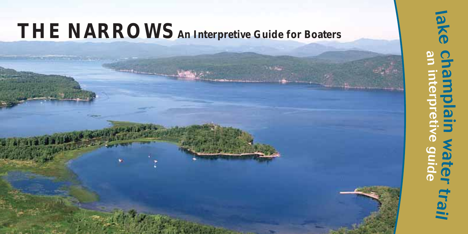# **THE NARROWS An Interpretive Guide for Boaters**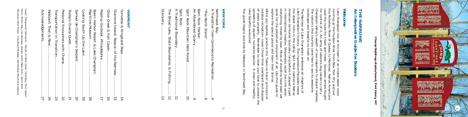#### THE<br>An In **An Interpretive Guide for Boaters THE NARROWS**  $\bar{z}$   $\bar{z}$  $\overline{\mathbf{z}}$ 글 ₹ 友 ക് **E**C š  $\bullet$  $\Omega$ **unide**  $\mathbf{f}$ e  $\overline{\mathbf{u}}$  $\bullet$ atte

## **Welc Welcome Omne**

landscape and breathe its fresh air. The nation's fi Champlain Valley's wealth of raw materials to distant markets. for control of it. An army of laborers dug canals to carry used the route for travel and trade. European armies fought the Richelieu River of Quebec to Montreal. Native Americans running up the Hudson River from New York City and out Lake Champlain lies at the heart of an inland water route landsc 등 요. ake  $\Xi$ sed the ad the route<br>control of i<br>control of i mplain Valley's wealth of raw m<br>nation's first tourists came here<br>dscape and breathe its fresh air  $\approx$ Ξ. ing up tl<br>lichelieu<br>lichelieu  $\Omega$ amplain<br>g up the ÈЙ rst tourists came here to see its awesome Ħ, for Huds lies or trave<br>An arm  $\circ$ l army<br>wealth<br>wealth  $\overline{a}$ πg couel<br>vel a  $\Rightarrow$  $\Xi$  $\frac{1}{2}$  $\circ$ ᅙ ਸ਼੍ਰੌ  $\mu$ d trade. 1<br>laborers Ξ  $\overline{5}$ ED i≋ nat  $\overline{a}$ ā  $\geq$ E s dug<sup>r</sup>c<br>iterials<br>to see  $\overline{\phantom{a}}$ 耳 iurope  $\sum_{\text{real}}$ inland cana<br>Is to c<br>e tts rk Cit<br>Mativ<br>Mativ Ë City distant ≤ armies<br>als to ca vater  $\sigma$  $\sim$ Ame ) Carry<br>ant markets.<br>some  $\overline{p}$ ğ noute ericans<br>: fought<br>arry  $\circ$  $\sigma$  $=$ 

The Narrows of Lake Champlain embra<br>Lake Champlain's history. The impress<br>the delest rocks in the valley. Split Re<br>American territorial boundary long be<br>in interrational treates. Shipwrecks 1<br>severything moved by boat. Mi explore the special places and learn their stories. aside for the perpetual enjoyment of all. Use this guide to everything moved by boat. Miles of shoreline have been set in international treaties. Shipwrecks recall the time when American territorial boundary long before it played a part the oldest rocks in the valley. Split Rock marked a Native Lake Champlain's history. The impressive Palisades reveal The Narrows of Lake Champlain embraces all chapters of l enjoyment of<br>.ces and learn embra ccas recar ca<br>
i of shoreline<br>
nt of all. Use  $\overline{g}$ essive<br>Rock anaal<br>artifiei<br>itei ្ត្រ<br>ខេត fore eir  $\ddot{\tau}$ : mar<br>: e it Palis ⋿ stor ≌ it played<br>| the time  $\Xi$ ked  $\rightarrow$ ಸ iis 로 일<br>이후 e been se<br>suide to  $\sigma$  $\rm{^{\omega}}$ ്ര reveal<br>Native<br>d a part<br>e when<br>, نت  $\Omega$ 

While you explore,  $\frac{1}{1}$ <br>outdoor recreation-<br>of waste properly. Spre<br>lake lake benefi spreading of aquatic nuisance species. A clean and healthy of waste properly. Remember to clean your boat to prevent the outdoor recreation--never throw litter overboard and dispose While you explore, practice the "leave no trace" principle of f waste properly. Re<br>oreading of aquatic 1<br>ke benefits everyon π ts everyone! mov Remember<br>ic nuisance practice. men ≔ Ğ Ę .<br>the QM spe  $\overline{c}$  $i$ eave o clean<br>pecies. litter  $\rm m$ λou<br>you  $\blacktriangleright$ trace" cle ರ  $_{\rm{bol}}$ Б pire  $\overline{\phantom{a}}$  $\Xi$  5 principle o<br>and dispos<br>. prev ealthy ent  $\mathbf{a}$ the

The The guide begins and ends by Westport in Northwest Bay.  $g$  uide begins pue ends  $\mathbf{\mathfrak{S}}$ Wes stport Ξ. Northv Ÿ  $\mbox{Bay}$ 

#### Northwest Ba<br>A Transition Split Barn<br>Barn **MHN** An Abandoned Quarry ..........................................9  $\;$  An A Transition from Commerce to Recreation ..............6 Split Rock Mountain Wild Forest ..........................10 Barn Rock Harbor: "The North Shore" ...............................................8 Northwest Bay: fThe Abando: Rock Rock North  $\overline{a}$ Harbor Mountain pau  $\mathbf{B}$ a **Sho** ⇒∉ mon  $\cdot$  : Quarr  $\sigma$ C Wild  $F_{\rm O}$  $\rightarrow$ ö Re ≍ ۹.  $\overline{\phantom{0}}$ ڞ  $\infty$ ြော

 $\overline{c}$ 

## **VERMONT** s

**NEW YORK**

### $\Omega$ *Champ Sightings display board, Port Henry, NY* € Sightings display  $\dot{g}$ ard,  $\mathbf{P}_{0}$  $\rightarrow$ He Ę,  $\mathbf{M}$

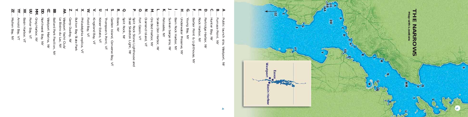*F* .....*ZZ* ...*YY* ...*XX*... $\Xi$ *MM* ..*DD*...*CC* ...*BB* Le Bistro du Lac, NY *AA* ..*Z* .....*X*..... **≤**  $\epsilon$  $\mathbf{u}$ **T** *R*.....*Q* Steel Skeleton Light, NY *P* .....*O*.....*N* ....*M* ....*L* .....*K*.....*J* .....*H* ....*G*.....*E* .....*D*.....*C* .....*A* ....*BS* .....*IY*..... ............... ...Arnold Bay,<br>Mullen Bay, Field Bay, Fort Cassin, Diamond Young Bay, Arnold Bay, VT Porter Westport Marina, NY Westport Yacht Club/<br>Le Bistro du Lac, NY Westport Yacht Club/ Camp Dudley, NY Keiser  $\mathop{\mathrm{Imod}}\nolimits$  Thompson's Point, VT Essex, NY Split Rock, NY Split Rock Stone Lighthous<br>Steel Skeleton Light, NY Ore Bed Harbor, Snake Den Harbor, Palis Sunken barge site, Young Bay, NY Partr Furnace Mullen Bay, NY Basin Harbor, VT Porter Bay, VT Grog Harbor, Grog Harbor, NY Northwest Bay, Northwest Bay, NY Westport Marina, Ballard Park Pavilion, NY Ballard Park Pavilion, NY Camp Dudley, NY Button Bay State Park Button Bay State Park Philadelphia *Philadelphia* replica, VT Field Bay, VT Kingsland Bay, Kingsland Bay, VT Keiser Estate, VT Garden Island, Converse Bay, VT Split Rock, NY Split Rock Stone Lighthouse and Fort Cassin, VT Diamond Island, VT Ore Bed Harbor, NY Snake Den Harbor, NY Palisades, NY Sunken barge site, NY Barn Rock Harbor, Barn Rock Harbor, NY Underwater Preserve, Underwater Preserve, NY Barber Point & Lighthouse, NY Rock Harbor, NY Partridge Harbor, NY Hunter Bay, NY Hunter Bay, NY Furnace Point. NY Public launch site, Westport, NY arden Island, ublic launch site asin Harbor, sades, NY idge  $\ensuremath{\mathsf{Bay}},$ Estate, son's Point, Point Island, Harbor,  $\ensuremath{\mathop{\mathbb{Z}}\nolimits}$  $\preceq$  $\rm \stackrel{N}{M}$  $\preceq$  $_{\rm NN}$  $\leq$ replica,  $\rm \stackrel{N}{N}$  $\mathop{\rm\textrm{K}}\nolimits$  $\leq$  $\preceq$  $\mbox{Con}$ Iighth  $\overline{M}$  $\gtrsim$  $\leq$  $\rm \stackrel{>}{\sim}$  $\preceq$  $\rm \AA{}$  $\rm \stackrel{N}{\sim}$  $\leq$  $\overline{M}$  $\rm \stackrel{N}{N}$  $\delta$  $\rm \overline{M}$ Жe  $\preceq$  $\overline{\mathsf{M}}$ ă od<sub>1</sub>s Bay, S6 -൹  $\mathop{\rm \mathbb{N}}$ ∴÷ i pue  $\preceq$  $\rm \stackrel{N}{M}$ 

 $\rightarrow$ 

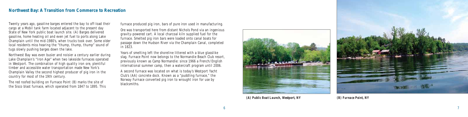

Twenty years ago, gasoline barges entered the bay to off-load their cargo at a Mobil tank farm located adjacent to the present day State of New York public boat launch site. (A) Barges delivered gasoline, home heating oil and even jet fuel to ports along Lake Champlain until the mid-1980's, when trucks took over. Some older local residents miss hearing the "thump, thump, thump" sound of tugs slowly pushing barges down the lake.

Northwest Bay was even busier and noisier a century earlier during Lake Champlain's "Iron Age" when two lakeside furnaces operated in Westport. The combination of high quality iron ore, plentiful timber and accessible water transportation made New York's Champlain Valley the second highest producer of pig iron in the country for most of the 19th century.

The red roofed building on Furnace Point (B) marks the site of the Sisco blast furnace, which operated from 1847 to 1895. This furnace produced pig iron, bars of pure iron used in manufacturing.

Ore was transported here from distant Nichols Pond via an ingenious gravity-powered cart. A local charcoal kiln supplied fuel for the furnace. Smelted pig iron bars were loaded onto canal boats for passage down the Hudson River via the Champlain Canal, completed in 1823.

Years of smelting left the shoreline littered with a blue glasslike slag. Furnace Point now belongs to the Normandie Beach Club resort, previously known as Camp Normandie: since 1966 a French/English international summer camp, then a watercraft program until 2006.

A second furnace was located on what is today's Westport Yacht Club's (AA) concrete dock. Known as a "puddling furnace," the Norway Furnace converted pig iron to wrought iron for use by blacksmiths.

#### **Northwest Bay: A Transition from Commerce to Recreation**



*(A) Public Boat Launch, Westport, NY (B) Furnace Point, NY*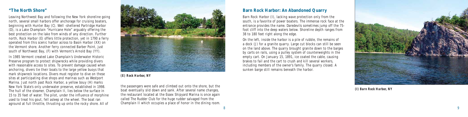8

#### **Barn Rock Harbor: An Abandoned Quarry**

Barn Rock Harbor (I), lacking wave protection only from the south, is a favorite of power boaters. The immense rock face at the entrance provides the name. Daredevils sometimes jump off the 75 foot cliff into the deep waters below. Shoreline depth ranges from 38 to 180 feet right along the edge.

On the left, inside the harbor is a pile of rubble, the remains of a dock (J) for a granite quarry. Large cut blocks can still be seen on the land above. The quarry brought granite down to the barges by carts on rails, using a pulley system of counterweights in the empty cart. On January 15, 1891, ice coated the cable, causing brakes to fail and the cart to crush and kill several workers, including members of the owner's family. The quarry closed. A sunken barge still remains beneath the harbor.



#### **"The North Shore"**

Leaving Northwest Bay and following the New York shoreline going north, several small harbors offer anchorage for cruising boaters, beginning with Hunter Bay (C). Well -sheltered Partridge Harbor (D), is a Lake Champlain "Hurricane Hole" arguably offering the best protection on the lake from winds of any direction. Further north, Rock Harbor (E) offers little protection, yet in 1790 a ferry operated from this scenic harbor across to Basin Harbor (XX) on the Vermont shore. Another ferry connected Barber Point, just south of Northwest Bay, (F) with Vermont's Arnold Bay (YY).

In 1985 Vermont created Lake Champlain's Underwater Historic Preserve program to protect shipwrecks while providing divers with reasonable access to sites. To prevent damage caused when anchoring, divers tie their boats to the large yellow buoys that mark shipwreck locations. Divers must register to dive on these sites at participating dive shops and marinas such as Westport Marina. Just north past Rock Harbor, a yellow bouy (H) marks New York State's only underwater preserve, established in 1998. The hull of the steamer, Champlain II, lies below the surface in 15 to 35 feet of water. The pilot, under the influence of morphine used to treat his gout, fell asleep at the wheel. The boat ran aground at full throttle, thrusting up onto the rocky shore. All of



the passengers were safe and climbed out onto the shore, but the boat eventually slid down and sank. After several name changes, the restaurant located at the Essex Shipyard Marina is once again called The Rudder Club for the huge rudder salvaged from the Champlain II which occupies a place of honor in the dining room.

*(I) Barn Rock Harbor, NY*

#### *(E) Rock Harbor, NY*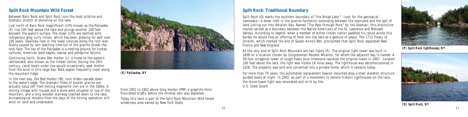#### **Split Rock: Traditional Boundary**

Split Rock (Q) marks the southern boundary of "the Broad Lake." Look for the geological namesake—a sheer cleft in the granite formation extending between the mainland and the spit of land jutting out into Whallon Bay. Named "The Pass through Rock" by the Abenaki, this distinctive marker served as a boundary between the Native Americans of the St. Lawrence and Mohawk Valleys. According to legend, when a member of either Indian nation paddled his canoe across this border he would toss an offering of food into the lake as a gesture of peace. The 1713 Treaty of Utrecht, which marked the end of Queen Anne's War, proclaimed that Split Rock separated New France and New England.

At the very end of Split Rock Mountain are two lights (P). The original light tower was built in 1838 on a location chosen by Congressman Reuben Whallon, for whom the adjacent bay is named. A 39-foot octagonal tower of rough-hewn blue limestone replaced the original tower in 1867. Located 100 feet above the lake, the light was visible 18 miles away. The lighthouse was decommissioned in 1928. The property was sold and converted into a private home, which it remains today.

Just north of Barn Rock magnificent cliffs known as the Palisades (K) rise 100 feet above the lake and plunge another 140 feet beneath the water's surface. The sheer cliffs are mottled with indigenous gray curly lichen, which has been growing for well over 100 years. Swallows nest in the lower crevices along the rock wall. Stains caused by rain leaching lime out of the granite streak the rock face. The top of the Palisades is a nesting ground for turkey vultures, American bald eagles, osprey and peregrine falcons.

> For more than 70 years, the automated replacement beacon mounted atop a steel skeleton structure guided boats at night. In 2002, as part of a movement to restore historic lighthouses on the lake, the stone tower light was renovated and re-lit by the U.S. Coast Guard.

From 1901 to 1902 above Grog Harbor (MM) a graphite mine flourished briefly before the mineral vein was depleted.

#### **Split Rock Mountain Wild Forest**

Between Barn Rock and Split Rock runs the most pristine and dramatic stretch of shoreline on the lake.

Continuing north, Snake Den Harbor (L) is home to the eastern rattlesnake, also known as the timber rattler. During the 19th century, canal boats under tow would occasionally seek shelter from the wind in this large bay. Bald eagles frequently roost along the mountain ridge.

In the next bay, Ore Bed Harbor (M), rock slides cascade down to the water's edge. The dramatic flows of broken granite are actually talus left from mining magnetite iron ore in the 1860s. A mining village with houses and a store were situated on top of the mountain, and a long wooden stairway reached down to the lake. Archaeological remains from the days of the mining operation still exist on land and underwater.

Today this land is part of the Split Rock Mountain Wild Forest wilderness area owned by New York State.



*(K) Palisades, NY*



*(Q) Split Rock, NY*



*(P) Split Rock lighthouses, NY*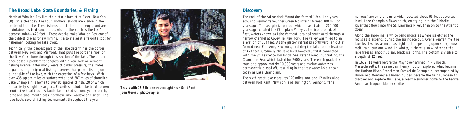#### **Discovery**

The rock of the Adirondack Mountains formed 1.9 billion years ago, and Vermont's younger Green Mountains formed 400 million years ago. The last glacial period, which peaked about 200,000 years ago, created the Champlain Valley as the ice receded. At first, waters known as Lake Vermont, drained southward through a narrow channel at Coveville, New York. The valley was filled to an elevation of 600 feet. As the glacier retreated northward, an outlet formed near Fort Ann, New York, draining the lake to an elevation of 470 feet. Gradually the lake level lowered until it connected with the St. Lawrence low lands. Sea water flowed in, creating, the Champlain Sea, which lasted for 2000 years. The earth gradually rose, and approximately 10,000 years ago marine water was permanently closed off, resulting in the freshwater lake known today as Lake Champlain.

narrows" are only one mile wide. Located about 95 feet above sea level, Lake Champlain flows north, emptying into the Richelieu River that flows into the St. Lawrence River, then on to the Atlantic

The sixth great lake measures 120 miles long and 12 miles wide between Port Kent, New York and Burlington, Vermont. "The

In 1609, 11 years before the Mayflower arrived in Plymouth, Massachusetts, the same year Henry Hudson explored what became the Hudson River, Frenchman Samuel de Champlain, accompanied by Huron and Montaignais Indian guides, became the first European to discover and explore this lake, already a summer home to the Native American Iroquois Mohawk tribe.

North of Whallon Bay lies the historic hamlet of Essex, New York (R). On a clear day, the Four Brothers Islands are visible in the center of the lake. These islands are off limits to people and are maintained as bird sanctuaries. Also to the north is the lake's deepest point—420 feet! These depths make Whallon Bay one of the coldest places for swimming. It also makes it a favorite spot for fishermen looking for lake trout.

Technically, the deepest part of the lake determines the border between New York and Vermont. That puts the border almost on the New York shore through this section of the lake. The border once posed a problem for anglers with a New York or Vermont fishing license. After many years of public pressure, the states began issuing reciprocal fishing licenses that permit fishing on either side of the lake, with the exception of a few bays. With over 435 square miles of surface water and 587 miles of shoreline, Lake Champlain is home to over 80 species of fish, 20 of which are actively sought by anglers. Favorites include lake trout, brown trout, steelhead trout, Atlantic landlocked salmon, yellow perch, large and smallmouth bass, northern pike, walleye and smelt. The lake hosts several fishing tournaments throughout the year.



Ocean.

Along the shoreline, a white band indicates where ice etches the rocks as it expands during the spring ice-out. Over a year's time, the lake level varies as much as eight feet, depending upon snow, snow melt, rain, sun and wind. In winter, if there is no wind when the lake freezes, smooth, clear, black ice forms. The bottom is visible to a depth of 12 feet.

#### **The Broad Lake, State Boundaries, & Fishing**

*Travis with 15.5 lb lake trout caught near Split Rock. John Gereau, photographer*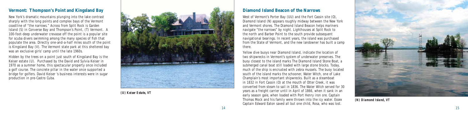#### **Diamond Island Beacon of the Narrows**

West of Vermont's Porter Bay (UU) and the Fort Cassin site (O), Diamond Island (N) appears roughly midway between the New York and Vermont shores. The Diamond Island Beacon helps mariners navigate "the narrows" by night. Lighthouses at Split Rock to the north and Barber Point to the south provide subsequent navigational bearings. In recent years, the island was purchased from the State of Vermont, and the new landowner has built a camp there.

Yellow dive buoys near Diamond Island, indicate the location of two shipwrecks in Vermont's system of underwater preserves. The buoy closest to the island marks The Diamond Island *Stone Boat*, a submerged canal boat still loaded with large stone blocks. Today, much of the ship is encrusted with zebra mussels. The buoy located south of the island marks the schooner, *Water Witch*, one of Lake Champlain's most important shipwrecks. Built as a steamboat in 1832 in Fort Cassin (O) at the mouth of Otter Creek, it was converted from steam to sail in 1836. The *Water Witch* served for 30 years as a freight carrier until in April of 1866, when it sank in an early season gale, when loaded with Port Henry iron ore. Captain Thomas Mock and his family were thrown into the icy water. Essex Captain Edward Eaton saved all but one child, Rosa, who was lost.



#### **Vermont: Thompson's Point and Kingsland Bay**

New York's dramatic mountains plunging into the lake contrast sharply with the long points and complex bays of the Vermont coastline of "the narrows." Across from Split Rock is Garden Island (S) in Converse Bay and Thompson's Point, (T) Vermont. A 100-foot-deep underwater crevasse off the point is a popular site for scuba divers swimming among the many species of fish that populate the area. Directly one-and-a-half miles south of the point is Kingsland Bay (V). The Vermont state park at this sheltered bay was an exclusive girls' camp until the late 1960s.

Hidden by the trees on a point just south of Kingsland Bay is the Keiser estate (U). Purchased by the David and Sylvia Keiser in 1970 as a summer home, this spectacular property once included a golf course. The concrete pillar in the water once supported a bridge for golfers. David Keiser 's business interests were in sugar production in pre-Castro Cuba.



*(U) Keiser Estate, VT*

*(N) Diamond Island, VT*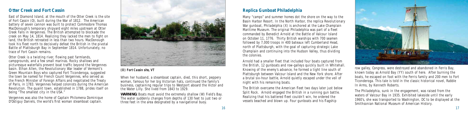#### **Replica Gunboat Philadelphia**

Many "camps" and summer homes dot the shore on the way to the Basin Harbor Resort. In the North Harbor, the replica Revolutionary War gunboat, *Philadelphia* (X) is anchored at the Lake Champlain Maritime Museum. The original *Philadelphia* was part of a fleet commanded by Benedict Arnold at the Battle of Valcour Island on October 11, 1776. Thirty British warships with 700 seamen followed by 7,000 troops in 400 bateaux left Cumberland Head, north of Plattsburgh, with the goal of capturing strategic Lake Champlain and continuing into the Hudson Valley, thus dividing the colonies.

Arnold had a smaller fleet that included four boats captured from the British, 12 gunboats and row-galleys quickly built in Whitehall. Knowing of the enemy's advance, he formed a tight line south of Plattsburgh between Valcour Island and the New York shore. After a brutal six-hour battle, Arnold quietly escaped under the veil of night with his remaining boats.

The British overcame the American fleet two days later just below Split Rock. Arnold engaged the British in a running gun battle. Realizing that his battered fleet couldn't win, he ordered the vessels beached and blown up. Four gunboats and his flagship



row galley, *Congress*, were destroyed and abandoned in Ferris Bay, known today as Arnold Bay (YY) south of here. After burning the boats, he escaped on foot with the Ferris family and 200 men to Fort Ticonderoga. This tale is told in the classic historical novel, *Rabble In Arms*, by Kenneth Roberts.

Otter Creek is a twisting river, flowing past farmlands, campgrounds, and a few small marinas. Rocky shallows and picturesque waterfalls prevent boat traffic beyond the Vergennes basin. Ethan Allen, the Revolutionary War leader of Vermont's Green Mountain Boys who captured Fort Ticonderoga, suggested the town be named for French Count Vergennes, who served as the French Minister of Foreign Affairs and negotiated the Treaty of Paris, in 1783. Vergennes helped colonists during the American Revolution. The quaint town, established in 1788, prides itself on being "The smallest city in the USA."

Vergennes was also the home of Captain Philomena Dominique D'Ostiguy Daniels, the world's first woman steamboat captain.



The *Philadelphia*, sunk in the engagement, was raised from the waters of Valcour Bay in 1935. Exhibited lakeside until the early 1960's, she was transported to Washington, DC to be displayed at the Smithsonian National Museum of American History.

#### **Otter Creek and Fort Cassin**

East of Diamond Island, at the mouth of the Otter Creek is the site of Fort Cassin (O), built during the War of 1812. The American battery of seven cannon was built to protect Commodore Thomas MacDonough's temporary shipyard eight miles upstream at Otter Creek Falls in Vergennes. The British attempted to blockade the creek on May 14, 1814. Realizing they lacked the men to fight on land, the British retreated in less than two hours. MacDonough took his fleet north to decisively defeat the British in the pivotal Battle of Plattsburgh Bay in September 1814. Unfortunately, no trace of Fort Cassin remains.

> When her husband, a steamboat captain, died, this short, peppery woman, famous for her big Victorian hats, continued the family's business, captaining regular trips to Westport aboard the *Victor* and the *Water Lilly*. She lived from 1843 to 1929.

> **WARNING:** Boats must avoid the extremely shallow (W) Field's Bay. The water suddenly changes from depths of 130 feet to just two or three feet in the area designated by a navigational buoy.

#### *(O) Fort Cassin site, VT*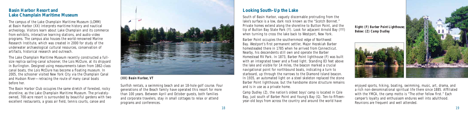#### **Looking South–Up the Lake**

South of Basin Harbor, vaguely discernable protruding from the lake's surface is a low, dark rock known as the "Scotch Bonnet." Private homes extend along the shoreline to Button Point, and the tip of Button Bay State Park (Y). Look for adjacent Arnold Bay (YY) when turning to cross the lake back to Westport, New York.

Barber Point occupies the southernmost edge of Northwest Bay. Westport's first permanent settler, Major Hezekiah Barber homesteaded there in 1785 when he arrived from Connecticut. Nearby, his descendents still own and operate the Barber Homestead RV Park. In 1873, Barber Point lighthouse (F) was built with an integrated tower and a fixed light. Standing 83 feet above the lake and visible for 14 miles, the beacon marked a crucial navigational point for northbound boats, indicating a turn to starboard, up through the narrows to the Diamond Island beacon. In 1935, an automated light on a steel skeleton replaced the stone Barber Point lighthouse, but the handsome stone structure remains and is in use as a private home.

Camp Dudley (Z), the nation's oldest boys' camp is located in Cole Bay, just south of Barber Point and Young's Bay (G). Ten-to-fifteenyear-old boys from across the country and around the world have



The Basin Harbor Club occupies the same stretch of forested, rocky shoreline, as the Lake Champlain Maritime Museum. The privatelyowned, 700-acre resort is surrounded by beautiful gardens with two excellent restaurants, a grass air field, tennis courts, canoe and



enjoyed sports, hiking, boating, swimming, music, art, drama, and a rich non-denominational spiritual life there since 1885. Affiliated with the YMCA, the camp motto is "The other fellow first." Each camper's loyalty and enthusiasm endures well into adulthood. Reunions are frequent and well attended.

Sunfish rentals, a swimming beach and an 18-hole golf course. Four generations of the Beach family have operated this resort for more than 100 years. Between April and October guests, both families and corporate travelers, stay in small cottages to relax or attend programs and conferences.

#### **Basin Harbor Resort and Lake Champlain Maritime Museum**

The campus of the Lake Champlain Maritime Museum (LCMM) at Basin Harbor (XX) interprets maritime history and nautical archeology. Visitors learn about Lake Champlain and its commerce from exhibits, interactive learning stations, and audio-video programs. The campus also houses the world-renowned Marine Research Institute, which was created in 2000 for study of the underwater archaeological cultural resources, conservation of artifacts, historical research and outreach.

The Lake Champlain Maritime Museum recently constructed a fullsize replica sailing-canal schooner, the *Lois McClure*, at its shipyard in Burlington. Designed using measurements taken from 1862-class canal boats, the *Lois McClure* has become a floating museum. In 2005, the schooner visited New York City via the Champlain Canal and Hudson River—retracing the route of many canal boats before her.

#### *(XX) Basin Harbor, VT*



*Below: (Z) Camp Dudley*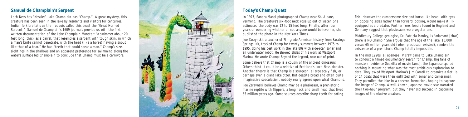

#### **Today's Champ Quest**

In 1977, Sandra Mansi photographed Champ near St. Albans, Vermont. The creature's six-foot neck rose up out of water. She estimated the body was 12 to 15 feet long. Finally, after four years of wondering whether or not anyone would believe her, she published the photo in the New York Times.

Joe Zarzynski, a teacher of 7th-grade American history from Saratoga Springs, NY, tracked Champ for twenty summers between 1975 to 1995, doing his best work in the late 80s with side-scan sonar and an underwater robot. He showed slides of his work at Westport Marina, He wrote *Champ: Beyond the Legend*, now out of print.

fish. However the cumbersome size and horse-like head, with eyes on opposing sides rather than forward looking, would make it illequipped as a predator. Furthermore, fossils found in England and Germany suggest that plesiosaurs were vegetarians.

Some believe that Champ is a cousin of the ancient dinosaurs. Others think it could be a relative of Scotland's Loch Ness Monster. Another theory is that Champ is a sturgeon, a large scaly fish, or perhaps even a giant lake otter. But despite broad and often quite imaginative speculation, nobody really agrees upon what Champ is.

Joe Zarzynski believes Champ may be a plesiosaur, a prehistoric marine reptile with flippers, a long neck and small head that lived 65 million years ago. Some sources describe sharp teeth for eating

Middlebury College geologist, Dr. Patricia Manley, is "adamant [that] there is NO Champ." She argues that the age of the lake, 10,000 versus 65 million years old (when plesiosaur existed), renders the existence of a prehistoric Champ totally impossible.

In the mid 1990s, a Japanese TV crew came to Lake Champlain to conduct a filmed documentary search for Champ. Big fans of monsters (evidence Godzilla of movie fame), the Japanese spared nothing in mounting what was the most ambitious exploration to date. They asked Westport Marina's Jim Carroll to organize a flotilla of 14 boats that were then outfitted with sonar and cameramen. They patrolled the lake in a chevron formation, hoping to capture the image of Champ. A well-known Japanese movie star narrated their two-hour program, but they never did succeed in capturing images of the elusive creature.

#### **Samuel de Champlain's Serpent**

Loch Ness has "Nessie;" Lake Champlain has "Champ." A great mystery, this creature has been seen in the lake by residents and visitors for centuries. Indian folklore tells us the Iroquois called this beast the "Great Horned Serpent." Samuel de Champlain's 1609 journals provide us with the first written documentation of the Lake Champlain Monster: "a swimmer about 20 feet long, thick as a barrel, that resembles a serpent with tough skin, in which a man's knife cannot penetrate, with the head (like a horse) having a snout like that of a boar." He had "teeth that could spear a man." Champ's size, sightings in the shallows and an apparent preference for swimming along the water's surface led Champlain to conclude that Champ must be a carnivore.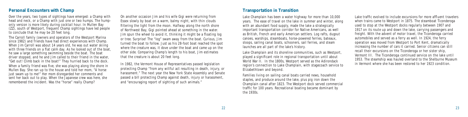#### **Transportation in Transition**

Lake Champlain has been a water highway for more than 10,000 years. The ease of travel on the lake in summer and winter, along with an abundant food supply, made the lake a strategically important transportation corridor for Native Americans, as well as British, French and early American settlers. Log rafts, dugout canoes, warships, steamboats, horse-powered ferries, bateaux, sloops, sailing canal boats, schooners, sail ferries, and steam launches are all part of the lake's history.

Lake Champlain and its shoreline communities, such as Westport, played a significant role in regional transportation until about World War II. In the 1800s, Westport served as the Adirondack region's connection to Lake Champlain, with stagecoach service to Elizabethtown and beyond.

Lake traffic evolved to include excursions for more affluent travelers when trains came to Westport in 1875. The steamboat *Ticonderoga*  used to stop at the Westport docks regularly between 1907 and 1917 on its route up and down the lake, carrying passengers and freight. With the advent of motor travel, the *Ticonderoga* carried automobiles and served as a ferry as well. In 1924, the ferry operation was moved from Westport to Port Kent, dramatically increasing the number of cars it carried. Senior citizens can still recall their excursions on the *Ticonderoga* or her sister ship, *Vermont III*. The *Ticonderoga* continued service on the lake until 1953. The steamship was hauled overland to the Shelburne Museum in Vermont where she has been restored to her 1923 condition.

Families living on sailing canal boats carried news, household staples, and produce around the lake, plus pig iron down the Champlain canal after 1823. The Westport dock served commercial traffic for 100 years. Recreational boating became dominant by the 1930s.

When a family friend was five, she was playing along the shore in Mullen Bay. She ran up to the house and told her mom, "A horse just swam up to me!" Her mom disregarded her comments and sent her back out to play. When the Japanese crew was here, she remembered the incident. Was the "horse" really Champ?

#### **Personal Encounters with Champ**

Over the years, two types of sightings have emerged: a Champ with head and neck, or a Champ with just one or two humps. The humponly version is more likely during cocktail hour. In Mullen Bay (ZZ), south of Westport, frequent Champ sightings have led people to conclude that he may be 20 feet long.

The Carroll family (owners and operators of the Westport Marina since 1982) and friends have had direct experiences with Champ. When Jim Carroll was about 14 years old, he was out water skiing with three friends on a flat calm day. As he looked out of the boat, he saw a large something swimming beside the boat. The boat driver stopped, and he and Jim called to their friend in the water, "Get out! Climb back in the boat!" They hurried back to the dock.

On another occasion Jim and his wife Gigi were returning from Essex slowly by boat on a warm, balmy night, with thin clouds filtering the light from the moon. Halfway along the north shore of Northwest Bay, Gigi pointed ahead at something in the water. Jim spun the wheel to avoid it, thinking it might be a floating log or tree. Surprise! The "log" swam away from the boat. Curious, Jim turned the boat to follow. Just as his 28-foot boat reached the spot where the creature was, it dove under the boat and came up on the other side. Comparing Champ's length to his boat, Jim estimates that the creature is about 20 feet long.

In 1982, the Vermont House of Representatives passed legislation protecting Champ "from any willful act resulting in death, injury, or harassment." The next year the New York State Assembly and Senate passed a bill protecting Champ against death, injury or harassment, and "encouraging report of sighting of such animals."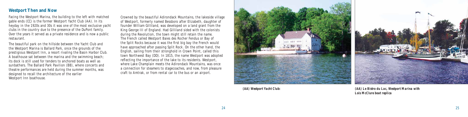#### **Westport Then and Now**

Facing the Westport Marina, the building to the left with matched gable ends (CC) is the former Westport Yacht Club (AA). In its heyday in the 1920s and 30s it was one of the most exclusive yacht clubs in the country due to the presence of the DuPont family. Over the years it served as a private residence and is now a public restaurant.

The beautiful park on the hillside between the Yacht Club and the Westport Marina is Ballard Park, once the grounds of the prestigious Westport Inn, a resort rivaling the Basin Harbor Club. A boathouse sat between the marina and the swimming beach; its dock is still used for tenders to anchored boats as well as sunbathers. The Ballard Park Pavilion (BB), where concerts and theatre performances are held during the summer months, was designed to recall the architecture of the earlier Westport Inn boathouse.

Crowned by the beautiful Adirondack Mountains, the lakeside village of Westport, formerly named Bessboro after Elizabeth, daughter of founder William Gilliland, was developed on a land grant from the King George III of England. Had Gilliland sided with the colonists during the Revolution, the town might still retain the name. The French called Westport Baies des Rocher Fendus or Bay of the Split Rocks because it was the first big bay the French would have approached after passing Split Rock. On the other hand, the English, sailing from their stronghold in Crown Point, called this town Northwest Bay (DD). In 1815, the name Westport was adopted reflecting the importance of the lake to its residents. Westport, where Lake Champlain meets the Adirondack Mountains, was once a connection for steamers to stagecoaches, and now, from pleasure craft to Amtrak, or from rental car to the bus or an airport.



*(AA) Westport Yacht Club: (AA) Le Bistro du Lac, Westport Marina with Lois McClure boat replica*

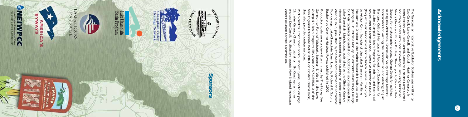Gosson, for photography cruises, George Davis for eithing, convinal westpook, Champlain Valley Heritage Metwork<br> *We Wirginia Westbook, Champlain Nalley Heritage Metwork*<br> *We Lake Champlain Basin Program, for eilting and* Dee Carrol<br>consultati<br>and many<br>Morris Gle:<br>Coseon fo *Ticonderoga: Lake Champlain SteamboatWalking Tour*, published by the Westport Chamber of Commerce; Museum and Director of the Marine Research Institute, and to to Arthur Cohn, founder of the Lake Champlain Maritime  $\mathbb{B}^0$ the Lake Champlain Basin Program, for editing and technical to Virginia Westbrook, Champlain Valley Heritage Network Morris Glenn and Bruce Phillips. Thank you to Captain Bob Щ *The Narrows, an Interpr Bessboro* by Caroline Halstead Royce, published in 1902. Historical Society, illustrated by Sid Couchey of Essex; *Lake Champlain Lighthouses* for their technical consultation. Additional sources consulted: geologist, Dr. Patricia Manley, of Vermont's Middlebury College, (Boquet River Association) for technical advice. Thank you advice, and to Cordelia Sand, Executive Director of BRASS cosson, for phot<br>Gosson, for phot<br>to Virginia Westl<br>Coordinator for v Brangan, Cultural Heritage and Recreation Coordinator for Coordinator for writing the introduction and editing; to Jim Gosson, for photography cruises, George Davis for editing, and many others with local knowledge, including historian consultation with Bob Carroll, Captains Jim and Larry Carroll Dee Carroll, Lane Carroll, and Captain Heather Cameron, in Narr sultati lemn  $_{\rm{orb}}$  $\Xi$  $\overline{ }$ canne construte<br>with Bob Ca<br>hers with loo<br>and Bruce P<br>istrements: with Ê d Bruce Phill<br>tography cru<br>brook, Cham<br>writing the i Inte<br>e Car<br>. l Bruce Phillips.<br>ography cruises, Ξ c *etive Guide for Boaters* was written by FE. ë  $\sum_{\mathbf{M}\in\mathbf{M}}$ ⊺Ē. , published by the Clinton County Guide l Captain Heather Cameron, in .<br>1, Captains Jim and Larry Carrol<br>cnowledge, including historian<br>ips. Thank you to Captain Bob for  $B$ <sub>0</sub> you , by Richard R. Strum; aters aptain:<br>aptain: ritten  $\tilde{e}$  $\mathbf{S}$ 

Community Fund<br>Champlain Basin 1<br>Welling Sasin 1 that also provided design services. thal New England Interstate Water Pollution Control Commission, Champlain Basin Program: EPA Grant X7-971055501-0 of the Community Fund of Westport, Newman E. Wait III, the Lake Production costs were underwritten in part by The Honey Bee roduction England Inter<br>: also provided land Interst:<br>• provided de<br>• edits: Front  $costs$  ${\rm Fund}$ s were underwri<br>d of Westport, 1<br>1 Program: EPA<br>terstate Water F **qe** rigis e underwritten in p.<br>Westport, Newman E<br>gram: EPA Grant X7-<br>ite Water Pollution (  $\mathbf{v}$ Mice  $\frac{1}{1}$  E. V  $\Omega$  $-1035301$ loutrol  $\leq$ t by The<br>Wait III,  $\overline{a}$  $\ddot{\circ}$ e Honey Be<br>, the Lake<br>)11-0 of the<br>pmmission,

Photo<br>12: Jo Water Pollution Control Commission. photos: Dee Carroll. Publication layout: New England Interstate Photo credits: Front cover photo: Robert Lyons; photo on page 12: John Gereau; Champ illustration: Sid Couchey; all other otos: Dee Carroll. Pul<br>ter Pollution Control oto credits:<br>John Gerea<br>otos: Dee Ca ine : Front c<br>au; Cha<br>au; Cha  $\overline{e}$ COVer 틤 Commission er photo: Rob<br>o illustration:<br>lication lavou atio : Robert Lyons;<br>ion: Sid Coucher<br>layout: New Eng<sup>1</sup> ons; photo on page<br>uchey; all other<br>/ England Interstate

# **Acknowledgements** Acknowledgements